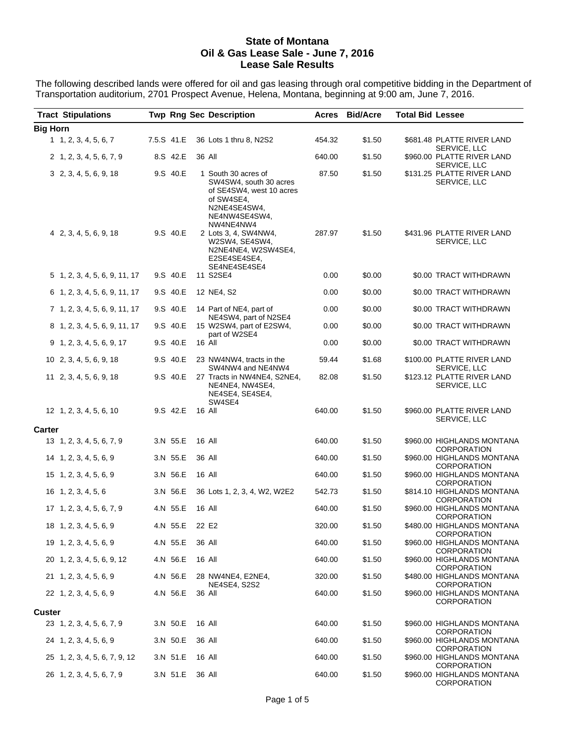#### **State of Montana Oil & Gas Lease Sale - June 7, 2016 Lease Sale Results**

The following described lands were offered for oil and gas leasing through oral competitive bidding in the Department of Transportation auditorium, 2701 Prospect Avenue, Helena, Montana, beginning at 9:00 am, June 7, 2016.

| <b>Tract Stipulations</b>     |                 | <b>Twp Rng Sec Description</b>                                                                                                        |        | <b>Acres Bid/Acre</b> | <b>Total Bid Lessee</b> |                                                  |
|-------------------------------|-----------------|---------------------------------------------------------------------------------------------------------------------------------------|--------|-----------------------|-------------------------|--------------------------------------------------|
| <b>Big Horn</b>               |                 |                                                                                                                                       |        |                       |                         |                                                  |
| 1, 2, 3, 4, 5, 6, 7           | 7.5.S 41.E      | 36 Lots 1 thru 8, N2S2                                                                                                                | 454.32 | \$1.50                |                         | \$681.48 PLATTE RIVER LAND<br>SERVICE, LLC       |
| 2 1, 2, 3, 4, 5, 6, 7, 9      | 8.S 42.E        | 36 All                                                                                                                                | 640.00 | \$1.50                |                         | \$960.00 PLATTE RIVER LAND<br>SERVICE, LLC       |
| 3 2, 3, 4, 5, 6, 9, 18        | 9.S 40.E        | 1 South 30 acres of<br>SW4SW4, south 30 acres<br>of SE4SW4, west 10 acres<br>of SW4SE4,<br>N2NE4SE4SW4,<br>NE4NW4SE4SW4,<br>NW4NE4NW4 | 87.50  | \$1.50                |                         | \$131.25 PLATTE RIVER LAND<br>SERVICE, LLC       |
| 4 2, 3, 4, 5, 6, 9, 18        | 9.S 40.E        | 2 Lots 3, 4, SW4NW4,<br>W2SW4, SE4SW4,<br>N2NE4NE4, W2SW4SE4,<br>E2SE4SE4SE4,<br>SE4NE4SE4SE4                                         | 287.97 | \$1.50                |                         | \$431.96 PLATTE RIVER LAND<br>SERVICE, LLC       |
| 5 1, 2, 3, 4, 5, 6, 9, 11, 17 | 9.S 40.E        | 11 S2SE4                                                                                                                              | 0.00   | \$0.00                |                         | \$0.00 TRACT WITHDRAWN                           |
| 6 1, 2, 3, 4, 5, 6, 9, 11, 17 | 9.S 40.E        | 12 NE4, S2                                                                                                                            | 0.00   | \$0.00                |                         | \$0.00 TRACT WITHDRAWN                           |
| 7 1, 2, 3, 4, 5, 6, 9, 11, 17 | 9.S 40.E        | 14 Part of NE4, part of                                                                                                               | 0.00   | \$0.00                |                         | \$0.00 TRACT WITHDRAWN                           |
| 8 1, 2, 3, 4, 5, 6, 9, 11, 17 | 9.S 40.E        | NE4SW4, part of N2SE4<br>15 W2SW4, part of E2SW4,                                                                                     | 0.00   | \$0.00                |                         | \$0.00 TRACT WITHDRAWN                           |
| 9 1, 2, 3, 4, 5, 6, 9, 17     | 9.S 40.E        | part of W2SE4<br>16 All                                                                                                               | 0.00   | \$0.00                |                         | \$0.00 TRACT WITHDRAWN                           |
| 10 2, 3, 4, 5, 6, 9, 18       | 9.S 40.E        | 23 NW4NW4, tracts in the<br>SW4NW4 and NE4NW4                                                                                         | 59.44  | \$1.68                |                         | \$100.00 PLATTE RIVER LAND<br>SERVICE, LLC       |
| 11 2, 3, 4, 5, 6, 9, 18       | 9.S 40.E        | 27 Tracts in NW4NE4, S2NE4,<br>NE4NE4, NW4SE4,<br>NE4SE4, SE4SE4,<br>SW4SE4                                                           | 82.08  | \$1.50                |                         | \$123.12 PLATTE RIVER LAND<br>SERVICE, LLC       |
| 12 1, 2, 3, 4, 5, 6, 10       | 9.S 42.E        | 16 All                                                                                                                                | 640.00 | \$1.50                |                         | \$960.00 PLATTE RIVER LAND<br>SERVICE, LLC       |
| <b>Carter</b>                 |                 |                                                                                                                                       |        |                       |                         |                                                  |
| 13 1, 2, 3, 4, 5, 6, 7, 9     | 3.N 55.E        | 16 All                                                                                                                                | 640.00 | \$1.50                |                         | \$960.00 HIGHLANDS MONTANA<br><b>CORPORATION</b> |
| 14 1, 2, 3, 4, 5, 6, 9        | 3.N 55.E        | 36 All                                                                                                                                | 640.00 | \$1.50                |                         | \$960.00 HIGHLANDS MONTANA<br><b>CORPORATION</b> |
| 15 1, 2, 3, 4, 5, 6, 9        | 3.N 56.E        | 16 All                                                                                                                                | 640.00 | \$1.50                |                         | \$960.00 HIGHLANDS MONTANA<br><b>CORPORATION</b> |
| 16 1, 2, 3, 4, 5, 6           | 3.N 56.E        | 36 Lots 1, 2, 3, 4, W2, W2E2                                                                                                          | 542.73 | \$1.50                |                         | \$814.10 HIGHLANDS MONTANA<br>CORPORATION        |
| 17 1, 2, 3, 4, 5, 6, 7, 9     | 4.N 55.E        | 16 All                                                                                                                                | 640.00 | \$1.50                |                         | \$960.00 HIGHLANDS MONTANA<br>CORPORATION        |
| 18 1, 2, 3, 4, 5, 6, 9        | 4.N 55.E 22 E2  |                                                                                                                                       | 320.00 | \$1.50                |                         | \$480.00 HIGHLANDS MONTANA<br><b>CORPORATION</b> |
| 19 1, 2, 3, 4, 5, 6, 9        | 4.N 55.E        | 36 All                                                                                                                                | 640.00 | \$1.50                |                         | \$960.00 HIGHLANDS MONTANA<br>CORPORATION        |
| 20 1, 2, 3, 4, 5, 6, 9, 12    | 4.N 56.E        | 16 All                                                                                                                                | 640.00 | \$1.50                |                         | \$960.00 HIGHLANDS MONTANA<br>CORPORATION        |
| 21 1, 2, 3, 4, 5, 6, 9        | 4.N 56.E        | 28 NW4NE4, E2NE4,<br>NE4SE4, S2S2                                                                                                     | 320.00 | \$1.50                |                         | \$480.00 HIGHLANDS MONTANA<br><b>CORPORATION</b> |
| 22 1, 2, 3, 4, 5, 6, 9        | 4.N 56.E        | 36 All                                                                                                                                | 640.00 | \$1.50                |                         | \$960.00 HIGHLANDS MONTANA<br><b>CORPORATION</b> |
| <b>Custer</b>                 |                 |                                                                                                                                       |        |                       |                         |                                                  |
| 23 1, 2, 3, 4, 5, 6, 7, 9     | 3.N 50.E        | 16 All                                                                                                                                | 640.00 | \$1.50                |                         | \$960.00 HIGHLANDS MONTANA<br><b>CORPORATION</b> |
| 24 1, 2, 3, 4, 5, 6, 9        | 3.N 50.E        | 36 All                                                                                                                                | 640.00 | \$1.50                |                         | \$960.00 HIGHLANDS MONTANA<br><b>CORPORATION</b> |
| 25 1, 2, 3, 4, 5, 6, 7, 9, 12 | 3.N 51.E        | 16 All                                                                                                                                | 640.00 | \$1.50                |                         | \$960.00 HIGHLANDS MONTANA<br><b>CORPORATION</b> |
| 26 1, 2, 3, 4, 5, 6, 7, 9     | 3.N 51.E 36 All |                                                                                                                                       | 640.00 | \$1.50                |                         | \$960.00 HIGHLANDS MONTANA<br>CORPORATION        |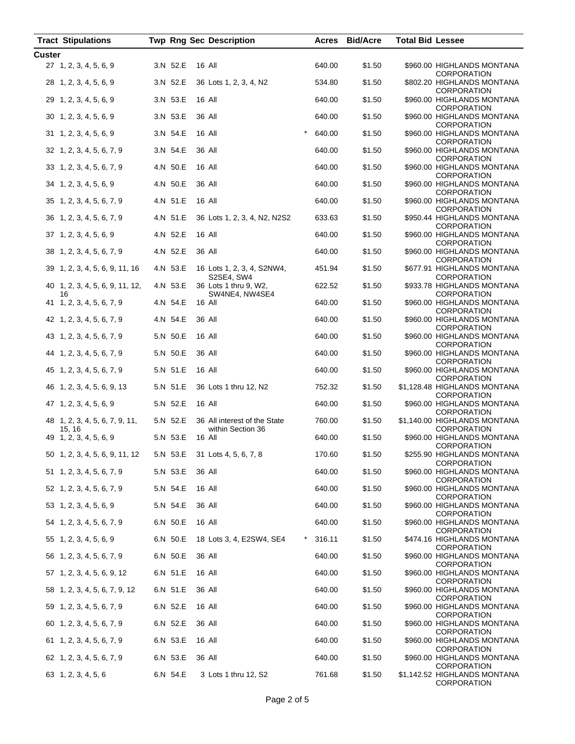| <b>Tract Stipulations</b>                |          | <b>Twp Rng Sec Description</b>                    | Acres              | <b>Bid/Acre</b> | <b>Total Bid Lessee</b> |                                                    |
|------------------------------------------|----------|---------------------------------------------------|--------------------|-----------------|-------------------------|----------------------------------------------------|
| Custer                                   |          |                                                   |                    |                 |                         |                                                    |
| 27 1, 2, 3, 4, 5, 6, 9                   | 3.N 52.E | 16 All                                            | 640.00             | \$1.50          |                         | \$960.00 HIGHLANDS MONTANA<br><b>CORPORATION</b>   |
| 28 1, 2, 3, 4, 5, 6, 9                   | 3.N 52.E | 36 Lots 1, 2, 3, 4, N2                            | 534.80             | \$1.50          |                         | \$802.20 HIGHLANDS MONTANA<br><b>CORPORATION</b>   |
| 29 1, 2, 3, 4, 5, 6, 9                   | 3.N 53.E | 16 All                                            | 640.00             | \$1.50          |                         | \$960.00 HIGHLANDS MONTANA<br><b>CORPORATION</b>   |
| 30 1, 2, 3, 4, 5, 6, 9                   | 3.N 53.E | 36 All                                            | 640.00             | \$1.50          |                         | \$960.00 HIGHLANDS MONTANA<br><b>CORPORATION</b>   |
| 31 1, 2, 3, 4, 5, 6, 9                   | 3.N 54.E | 16 All                                            | 640.00             | \$1.50          |                         | \$960.00 HIGHLANDS MONTANA<br><b>CORPORATION</b>   |
| 32 1, 2, 3, 4, 5, 6, 7, 9                | 3.N 54.E | 36 All                                            | 640.00             | \$1.50          |                         | \$960.00 HIGHLANDS MONTANA<br><b>CORPORATION</b>   |
| 33 1, 2, 3, 4, 5, 6, 7, 9                | 4.N 50.E | 16 All                                            | 640.00             | \$1.50          |                         | \$960.00 HIGHLANDS MONTANA<br><b>CORPORATION</b>   |
| 34 1, 2, 3, 4, 5, 6, 9                   | 4.N 50.E | 36 All                                            | 640.00             | \$1.50          |                         | \$960.00 HIGHLANDS MONTANA<br><b>CORPORATION</b>   |
| 35 1, 2, 3, 4, 5, 6, 7, 9                | 4.N 51.E | 16 All                                            | 640.00             | \$1.50          |                         | \$960.00 HIGHLANDS MONTANA<br><b>CORPORATION</b>   |
| 36 1, 2, 3, 4, 5, 6, 7, 9                | 4.N 51.E | 36 Lots 1, 2, 3, 4, N2, N2S2                      | 633.63             | \$1.50          |                         | \$950.44 HIGHLANDS MONTANA<br><b>CORPORATION</b>   |
| 37 1, 2, 3, 4, 5, 6, 9                   | 4.N 52.E | 16 All                                            | 640.00             | \$1.50          |                         | \$960.00 HIGHLANDS MONTANA<br><b>CORPORATION</b>   |
| 38 1, 2, 3, 4, 5, 6, 7, 9                | 4.N 52.E | 36 All                                            | 640.00             | \$1.50          |                         | \$960.00 HIGHLANDS MONTANA<br><b>CORPORATION</b>   |
| 39 1, 2, 3, 4, 5, 6, 9, 11, 16           | 4.N 53.E | 16 Lots 1, 2, 3, 4, S2NW4,<br>S2SE4, SW4          | 451.94             | \$1.50          |                         | \$677.91 HIGHLANDS MONTANA<br><b>CORPORATION</b>   |
| 40 1, 2, 3, 4, 5, 6, 9, 11, 12,<br>16    | 4.N 53.E | 36 Lots 1 thru 9, W2,<br>SW4NE4, NW4SE4           | 622.52             | \$1.50          |                         | \$933.78 HIGHLANDS MONTANA<br><b>CORPORATION</b>   |
| 41 1, 2, 3, 4, 5, 6, 7, 9                | 4.N 54.E | 16 All                                            | 640.00             | \$1.50          |                         | \$960.00 HIGHLANDS MONTANA<br><b>CORPORATION</b>   |
| 42 1, 2, 3, 4, 5, 6, 7, 9                | 4.N 54.E | 36 All                                            | 640.00             | \$1.50          |                         | \$960.00 HIGHLANDS MONTANA<br><b>CORPORATION</b>   |
| 43 1, 2, 3, 4, 5, 6, 7, 9                | 5.N 50.E | 16 All                                            | 640.00             | \$1.50          |                         | \$960.00 HIGHLANDS MONTANA<br><b>CORPORATION</b>   |
| 44 1, 2, 3, 4, 5, 6, 7, 9                | 5.N 50.E | 36 All                                            | 640.00             | \$1.50          |                         | \$960.00 HIGHLANDS MONTANA<br><b>CORPORATION</b>   |
| 45 1, 2, 3, 4, 5, 6, 7, 9                | 5.N 51.E | 16 All                                            | 640.00             | \$1.50          |                         | \$960.00 HIGHLANDS MONTANA<br><b>CORPORATION</b>   |
| 46 1, 2, 3, 4, 5, 6, 9, 13               | 5.N 51.E | 36 Lots 1 thru 12, N2                             | 752.32             | \$1.50          |                         | \$1,128.48 HIGHLANDS MONTANA<br><b>CORPORATION</b> |
| 47 1, 2, 3, 4, 5, 6, 9                   | 5.N 52.E | 16 All                                            | 640.00             | \$1.50          |                         | \$960.00 HIGHLANDS MONTANA<br><b>CORPORATION</b>   |
| 48 1, 2, 3, 4, 5, 6, 7, 9, 11,<br>15, 16 | 5.N 52.E | 36 All interest of the State<br>within Section 36 | 760.00             | \$1.50          |                         | \$1,140.00 HIGHLANDS MONTANA<br><b>CORPORATION</b> |
| 49 1, 2, 3, 4, 5, 6, 9                   | 5.N 53.E | 16 All                                            | 640.00             | \$1.50          |                         | \$960.00 HIGHLANDS MONTANA<br>CORPORATION          |
| 50 1, 2, 3, 4, 5, 6, 9, 11, 12           |          | 5.N 53.E 31 Lots 4, 5, 6, 7, 8                    | 170.60             | \$1.50          |                         | \$255.90 HIGHLANDS MONTANA<br><b>CORPORATION</b>   |
| 51 1, 2, 3, 4, 5, 6, 7, 9                | 5.N 53.E | 36 All                                            | 640.00             | \$1.50          |                         | \$960.00 HIGHLANDS MONTANA<br><b>CORPORATION</b>   |
| 52 1, 2, 3, 4, 5, 6, 7, 9                | 5.N 54.E | 16 All                                            | 640.00             | \$1.50          |                         | \$960.00 HIGHLANDS MONTANA<br><b>CORPORATION</b>   |
| 53 1, 2, 3, 4, 5, 6, 9                   | 5.N 54.E | 36 All                                            | 640.00             | \$1.50          |                         | \$960.00 HIGHLANDS MONTANA<br><b>CORPORATION</b>   |
| 54 1, 2, 3, 4, 5, 6, 7, 9                | 6.N 50.E | 16 All                                            | 640.00             | \$1.50          |                         | \$960.00 HIGHLANDS MONTANA<br><b>CORPORATION</b>   |
| 55 1, 2, 3, 4, 5, 6, 9                   | 6.N 50.E | 18 Lots 3, 4, E2SW4, SE4                          | $^\star$<br>316.11 | \$1.50          |                         | \$474.16 HIGHLANDS MONTANA<br><b>CORPORATION</b>   |
| 56 1, 2, 3, 4, 5, 6, 7, 9                | 6.N 50.E | 36 All                                            | 640.00             | \$1.50          |                         | \$960.00 HIGHLANDS MONTANA<br><b>CORPORATION</b>   |
| 57 1, 2, 3, 4, 5, 6, 9, 12               | 6.N 51.E | 16 All                                            | 640.00             | \$1.50          |                         | \$960.00 HIGHLANDS MONTANA<br><b>CORPORATION</b>   |
| 58 1, 2, 3, 4, 5, 6, 7, 9, 12            | 6.N 51.E | 36 All                                            | 640.00             | \$1.50          |                         | \$960.00 HIGHLANDS MONTANA<br><b>CORPORATION</b>   |
| 59 1, 2, 3, 4, 5, 6, 7, 9                | 6.N 52.E | 16 All                                            | 640.00             | \$1.50          |                         | \$960.00 HIGHLANDS MONTANA<br><b>CORPORATION</b>   |
| 60 1, 2, 3, 4, 5, 6, 7, 9                | 6.N 52.E | 36 All                                            | 640.00             | \$1.50          |                         | \$960.00 HIGHLANDS MONTANA<br><b>CORPORATION</b>   |
| 61 1, 2, 3, 4, 5, 6, 7, 9                | 6.N 53.E | 16 All                                            | 640.00             | \$1.50          |                         | \$960.00 HIGHLANDS MONTANA<br><b>CORPORATION</b>   |
| 62 1, 2, 3, 4, 5, 6, 7, 9                | 6.N 53.E | 36 All                                            | 640.00             | \$1.50          |                         | \$960.00 HIGHLANDS MONTANA<br><b>CORPORATION</b>   |
| 63 1, 2, 3, 4, 5, 6                      | 6.N 54.E | 3 Lots 1 thru 12, S2                              | 761.68             | \$1.50          |                         | \$1,142.52 HIGHLANDS MONTANA<br><b>CORPORATION</b> |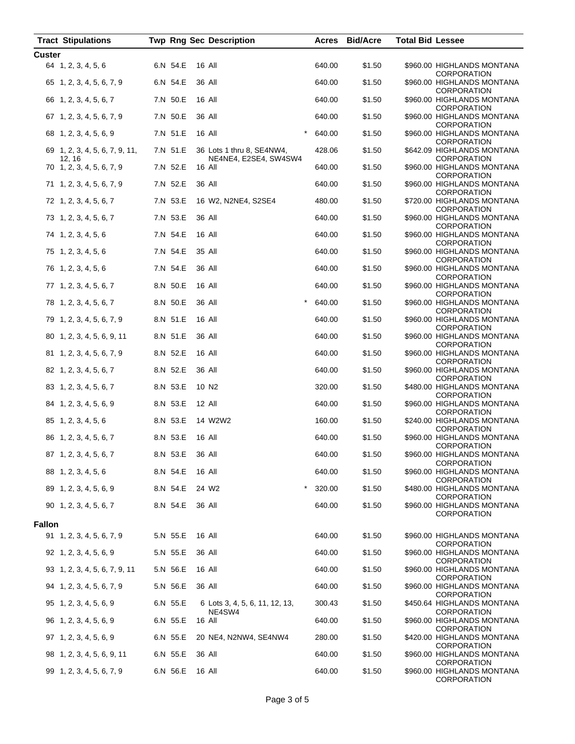| <b>Tract Stipulations</b>                |          | <b>Twp Rng Sec Description</b>                     |        | Acres Bid/Acre | <b>Total Bid Lessee</b>                          |
|------------------------------------------|----------|----------------------------------------------------|--------|----------------|--------------------------------------------------|
| <b>Custer</b>                            |          |                                                    |        |                |                                                  |
| 64 1, 2, 3, 4, 5, 6                      | 6.N 54.E | 16 All                                             | 640.00 | \$1.50         | \$960.00 HIGHLANDS MONTANA<br><b>CORPORATION</b> |
| 65 1, 2, 3, 4, 5, 6, 7, 9                | 6.N 54.E | 36 All                                             | 640.00 | \$1.50         | \$960.00 HIGHLANDS MONTANA<br><b>CORPORATION</b> |
| 66 1, 2, 3, 4, 5, 6, 7                   | 7.N 50.E | 16 All                                             | 640.00 | \$1.50         | \$960.00 HIGHLANDS MONTANA<br><b>CORPORATION</b> |
| 67 1, 2, 3, 4, 5, 6, 7, 9                | 7.N 50.E | 36 All                                             | 640.00 | \$1.50         | \$960.00 HIGHLANDS MONTANA<br><b>CORPORATION</b> |
| 68 1, 2, 3, 4, 5, 6, 9                   | 7.N 51.E | 16 All                                             | 640.00 | \$1.50         | \$960.00 HIGHLANDS MONTANA<br><b>CORPORATION</b> |
| 69 1, 2, 3, 4, 5, 6, 7, 9, 11,<br>12, 16 | 7.N 51.E | 36 Lots 1 thru 8, SE4NW4,<br>NE4NE4, E2SE4, SW4SW4 | 428.06 | \$1.50         | \$642.09 HIGHLANDS MONTANA<br><b>CORPORATION</b> |
| 70 1, 2, 3, 4, 5, 6, 7, 9                | 7.N 52.E | 16 All                                             | 640.00 | \$1.50         | \$960.00 HIGHLANDS MONTANA<br><b>CORPORATION</b> |
| 71 1, 2, 3, 4, 5, 6, 7, 9                | 7.N 52.E | 36 All                                             | 640.00 | \$1.50         | \$960.00 HIGHLANDS MONTANA<br><b>CORPORATION</b> |
| 72 1, 2, 3, 4, 5, 6, 7                   | 7.N 53.E | 16 W2, N2NE4, S2SE4                                | 480.00 | \$1.50         | \$720.00 HIGHLANDS MONTANA<br><b>CORPORATION</b> |
| 73 1, 2, 3, 4, 5, 6, 7                   | 7.N 53.E | 36 All                                             | 640.00 | \$1.50         | \$960.00 HIGHLANDS MONTANA<br><b>CORPORATION</b> |
| 74 1, 2, 3, 4, 5, 6                      | 7.N 54.E | 16 All                                             | 640.00 | \$1.50         | \$960.00 HIGHLANDS MONTANA<br><b>CORPORATION</b> |
| 75 1, 2, 3, 4, 5, 6                      | 7.N 54.E | 35 All                                             | 640.00 | \$1.50         | \$960.00 HIGHLANDS MONTANA<br><b>CORPORATION</b> |
| 76 1, 2, 3, 4, 5, 6                      | 7.N 54.E | 36 All                                             | 640.00 | \$1.50         | \$960.00 HIGHLANDS MONTANA<br><b>CORPORATION</b> |
| 77 1, 2, 3, 4, 5, 6, 7                   | 8.N 50.E | 16 All                                             | 640.00 | \$1.50         | \$960.00 HIGHLANDS MONTANA<br><b>CORPORATION</b> |
| 78 1, 2, 3, 4, 5, 6, 7                   | 8.N 50.E | 36 All                                             | 640.00 | \$1.50         | \$960.00 HIGHLANDS MONTANA<br><b>CORPORATION</b> |
| 79 1, 2, 3, 4, 5, 6, 7, 9                | 8.N 51.E | 16 All                                             | 640.00 | \$1.50         | \$960.00 HIGHLANDS MONTANA<br><b>CORPORATION</b> |
| 80 1, 2, 3, 4, 5, 6, 9, 11               | 8.N 51.E | 36 All                                             | 640.00 | \$1.50         | \$960.00 HIGHLANDS MONTANA<br><b>CORPORATION</b> |
| 81 1, 2, 3, 4, 5, 6, 7, 9                | 8.N 52.E | 16 All                                             | 640.00 | \$1.50         | \$960.00 HIGHLANDS MONTANA<br><b>CORPORATION</b> |
| 82 1, 2, 3, 4, 5, 6, 7                   | 8.N 52.E | 36 All                                             | 640.00 | \$1.50         | \$960.00 HIGHLANDS MONTANA<br><b>CORPORATION</b> |
| 83 1, 2, 3, 4, 5, 6, 7                   | 8.N 53.E | 10 N <sub>2</sub>                                  | 320.00 | \$1.50         | \$480.00 HIGHLANDS MONTANA<br><b>CORPORATION</b> |
| 84 1, 2, 3, 4, 5, 6, 9                   | 8.N 53.E | 12 All                                             | 640.00 | \$1.50         | \$960.00 HIGHLANDS MONTANA<br><b>CORPORATION</b> |
| 85 1, 2, 3, 4, 5, 6                      | 8.N 53.E | 14 W2W2                                            | 160.00 | \$1.50         | \$240.00 HIGHLANDS MONTANA<br><b>CORPORATION</b> |
| 86 1, 2, 3, 4, 5, 6, 7                   | 8.N 53.E | 16 All                                             | 640.00 | \$1.50         | \$960.00 HIGHLANDS MONTANA<br>CORPORATION        |
| 87 1, 2, 3, 4, 5, 6, 7                   | 8.N 53.E | 36 All                                             | 640.00 | \$1.50         | \$960.00 HIGHLANDS MONTANA<br><b>CORPORATION</b> |
| 88 1, 2, 3, 4, 5, 6                      | 8.N 54.E | 16 All                                             | 640.00 | \$1.50         | \$960.00 HIGHLANDS MONTANA<br><b>CORPORATION</b> |
| 89 1, 2, 3, 4, 5, 6, 9                   | 8.N 54.E | $\star$<br>24 W2                                   | 320.00 | \$1.50         | \$480.00 HIGHLANDS MONTANA<br><b>CORPORATION</b> |
| 90 1, 2, 3, 4, 5, 6, 7                   | 8.N 54.E | 36 All                                             | 640.00 | \$1.50         | \$960.00 HIGHLANDS MONTANA<br><b>CORPORATION</b> |
| <b>Fallon</b>                            |          |                                                    |        |                |                                                  |
| 91 1, 2, 3, 4, 5, 6, 7, 9                | 5.N 55.E | 16 All                                             | 640.00 | \$1.50         | \$960.00 HIGHLANDS MONTANA<br><b>CORPORATION</b> |
| 92 1, 2, 3, 4, 5, 6, 9                   | 5.N 55.E | 36 All                                             | 640.00 | \$1.50         | \$960.00 HIGHLANDS MONTANA<br><b>CORPORATION</b> |
| 93 1, 2, 3, 4, 5, 6, 7, 9, 11            | 5.N 56.E | 16 All                                             | 640.00 | \$1.50         | \$960.00 HIGHLANDS MONTANA<br>CORPORATION        |
| 94 1, 2, 3, 4, 5, 6, 7, 9                | 5.N 56.E | 36 All                                             | 640.00 | \$1.50         | \$960.00 HIGHLANDS MONTANA<br>CORPORATION        |
| 95 1, 2, 3, 4, 5, 6, 9                   | 6.N 55.E | 6 Lots 3, 4, 5, 6, 11, 12, 13,<br>NE4SW4           | 300.43 | \$1.50         | \$450.64 HIGHLANDS MONTANA<br>CORPORATION        |
| 96 1, 2, 3, 4, 5, 6, 9                   | 6.N 55.E | 16 All                                             | 640.00 | \$1.50         | \$960.00 HIGHLANDS MONTANA<br>CORPORATION        |
| 97 1, 2, 3, 4, 5, 6, 9                   | 6.N 55.E | 20 NE4, N2NW4, SE4NW4                              | 280.00 | \$1.50         | \$420.00 HIGHLANDS MONTANA<br>CORPORATION        |
| 98 1, 2, 3, 4, 5, 6, 9, 11               | 6.N 55.E | 36 All                                             | 640.00 | \$1.50         | \$960.00 HIGHLANDS MONTANA<br>CORPORATION        |
| 99 1, 2, 3, 4, 5, 6, 7, 9                | 6.N 56.E | 16 All                                             | 640.00 | \$1.50         | \$960.00 HIGHLANDS MONTANA<br>CORPORATION        |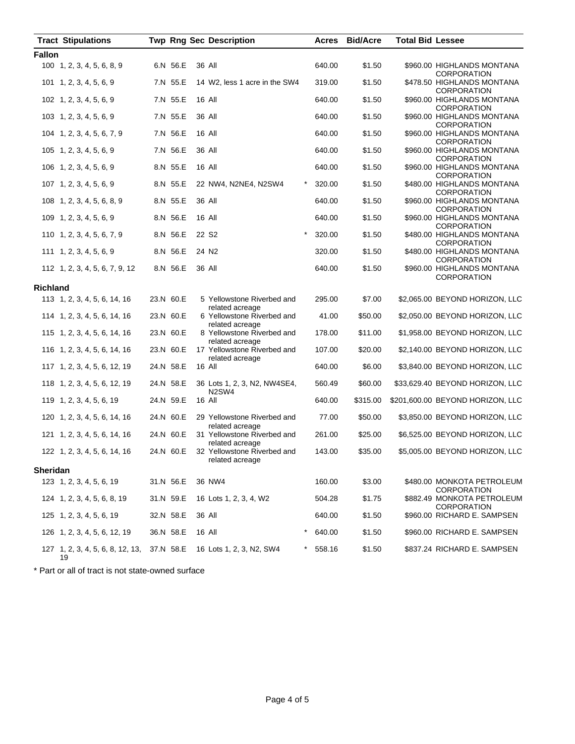|                 | <b>Tract Stipulations</b>                        |           |           | <b>Twp Rng Sec Description</b>                                 |          | <b>Acres</b> | <b>Bid/Acre</b> | <b>Total Bid Lessee</b> |                                                  |
|-----------------|--------------------------------------------------|-----------|-----------|----------------------------------------------------------------|----------|--------------|-----------------|-------------------------|--------------------------------------------------|
| <b>Fallon</b>   |                                                  |           |           |                                                                |          |              |                 |                         |                                                  |
|                 | 100 1, 2, 3, 4, 5, 6, 8, 9                       |           | 6.N 56.E  | 36 All                                                         |          | 640.00       | \$1.50          |                         | \$960.00 HIGHLANDS MONTANA<br><b>CORPORATION</b> |
|                 | 101 1, 2, 3, 4, 5, 6, 9                          |           | 7.N 55.E  | 14 W2, less 1 acre in the SW4                                  |          | 319.00       | \$1.50          |                         | \$478.50 HIGHLANDS MONTANA<br><b>CORPORATION</b> |
|                 | 102 1, 2, 3, 4, 5, 6, 9                          |           | 7.N 55.E  | 16 All                                                         |          | 640.00       | \$1.50          |                         | \$960.00 HIGHLANDS MONTANA<br>CORPORATION        |
|                 | 103 1, 2, 3, 4, 5, 6, 9                          |           | 7.N 55.E  | 36 All                                                         |          | 640.00       | \$1.50          |                         | \$960.00 HIGHLANDS MONTANA<br><b>CORPORATION</b> |
|                 | 104 1, 2, 3, 4, 5, 6, 7, 9                       |           | 7.N 56.E  | 16 All                                                         |          | 640.00       | \$1.50          |                         | \$960.00 HIGHLANDS MONTANA<br><b>CORPORATION</b> |
|                 | 105 1, 2, 3, 4, 5, 6, 9                          |           | 7.N 56.E  | 36 All                                                         |          | 640.00       | \$1.50          |                         | \$960.00 HIGHLANDS MONTANA<br><b>CORPORATION</b> |
|                 | 106 1, 2, 3, 4, 5, 6, 9                          |           | 8.N 55.E  | 16 All                                                         |          | 640.00       | \$1.50          |                         | \$960.00 HIGHLANDS MONTANA<br><b>CORPORATION</b> |
|                 | 107 1, 2, 3, 4, 5, 6, 9                          |           | 8.N 55.E  | 22 NW4, N2NE4, N2SW4                                           | $^\star$ | 320.00       | \$1.50          |                         | \$480.00 HIGHLANDS MONTANA<br><b>CORPORATION</b> |
|                 | 108 1, 2, 3, 4, 5, 6, 8, 9                       |           | 8.N 55.E  | 36 All                                                         |          | 640.00       | \$1.50          |                         | \$960.00 HIGHLANDS MONTANA<br>CORPORATION        |
|                 | 109 1, 2, 3, 4, 5, 6, 9                          |           | 8.N 56.E  | 16 All                                                         |          | 640.00       | \$1.50          |                         | \$960.00 HIGHLANDS MONTANA<br><b>CORPORATION</b> |
|                 | 110 1, 2, 3, 4, 5, 6, 7, 9                       |           | 8.N 56.E  | 22 S <sub>2</sub>                                              | $\star$  | 320.00       | \$1.50          |                         | \$480.00 HIGHLANDS MONTANA<br><b>CORPORATION</b> |
|                 | 111 1, 2, 3, 4, 5, 6, 9                          |           | 8.N 56.E  | 24 N <sub>2</sub>                                              |          | 320.00       | \$1.50          |                         | \$480.00 HIGHLANDS MONTANA<br><b>CORPORATION</b> |
|                 | 112 1, 2, 3, 4, 5, 6, 7, 9, 12                   |           | 8.N 56.E  | 36 All                                                         |          | 640.00       | \$1.50          |                         | \$960.00 HIGHLANDS MONTANA<br>CORPORATION        |
| <b>Richland</b> |                                                  |           |           |                                                                |          |              |                 |                         |                                                  |
|                 | 113 1, 2, 3, 4, 5, 6, 14, 16                     |           | 23.N 60.E | 5 Yellowstone Riverbed and<br>related acreage                  |          | 295.00       | \$7.00          |                         | \$2,065.00 BEYOND HORIZON, LLC                   |
|                 | 114 1, 2, 3, 4, 5, 6, 14, 16                     |           | 23.N 60.E | 6 Yellowstone Riverbed and<br>related acreage                  |          | 41.00        | \$50.00         |                         | \$2,050.00 BEYOND HORIZON, LLC                   |
|                 | 115 1, 2, 3, 4, 5, 6, 14, 16                     |           | 23.N 60.E | 8 Yellowstone Riverbed and<br>related acreage                  |          | 178.00       | \$11.00         |                         | \$1,958.00 BEYOND HORIZON, LLC                   |
|                 | 116 1, 2, 3, 4, 5, 6, 14, 16                     | 23.N 60.E |           | 17 Yellowstone Riverbed and<br>related acreage                 |          | 107.00       | \$20.00         |                         | \$2,140.00 BEYOND HORIZON, LLC                   |
|                 | 117 1, 2, 3, 4, 5, 6, 12, 19                     |           | 24.N 58.E | 16 All                                                         |          | 640.00       | \$6.00          |                         | \$3,840.00 BEYOND HORIZON, LLC                   |
|                 | 118 1, 2, 3, 4, 5, 6, 12, 19                     |           | 24.N 58.E | 36 Lots 1, 2, 3, N2, NW4SE4,<br>N <sub>2</sub> SW <sub>4</sub> |          | 560.49       | \$60.00         |                         | \$33,629.40 BEYOND HORIZON, LLC                  |
|                 | 119 1, 2, 3, 4, 5, 6, 19                         |           | 24.N 59.E | 16 All                                                         |          | 640.00       | \$315.00        |                         | \$201,600.00 BEYOND HORIZON, LLC                 |
|                 | 120 1, 2, 3, 4, 5, 6, 14, 16                     |           | 24.N 60.E | 29 Yellowstone Riverbed and<br>related acreage                 |          | 77.00        | \$50.00         |                         | \$3,850.00 BEYOND HORIZON, LLC                   |
|                 | 121 1, 2, 3, 4, 5, 6, 14, 16                     |           | 24.N 60.E | 31 Yellowstone Riverbed and<br>related acreage                 |          | 261.00       | \$25.00         |                         | \$6,525.00 BEYOND HORIZON, LLC                   |
|                 | 122 1, 2, 3, 4, 5, 6, 14, 16                     | 24.N 60.E |           | 32 Yellowstone Riverbed and<br>related acreage                 |          | 143.00       | \$35.00         |                         | \$5,005.00 BEYOND HORIZON, LLC                   |
| <b>Sheridan</b> |                                                  |           |           |                                                                |          |              |                 |                         |                                                  |
|                 | 123 1, 2, 3, 4, 5, 6, 19                         |           | 31.N 56.E | 36 NW4                                                         |          | 160.00       | \$3.00          |                         | \$480.00 MONKOTA PETROLEUM<br><b>CORPORATION</b> |
|                 | 124 1, 2, 3, 4, 5, 6, 8, 19                      |           | 31.N 59.E | 16 Lots 1, 2, 3, 4, W2                                         |          | 504.28       | \$1.75          |                         | \$882.49 MONKOTA PETROLEUM<br><b>CORPORATION</b> |
|                 | $125 \quad 1, 2, 3, 4, 5, 6, 19$                 |           | 32.N 58.E | 36 All                                                         |          | 640.00       | \$1.50          |                         | \$960.00 RICHARD E. SAMPSEN                      |
|                 | 126 1, 2, 3, 4, 5, 6, 12, 19                     | 36.N 58.E |           | 16 All                                                         |          | 640.00       | \$1.50          |                         | \$960.00 RICHARD E. SAMPSEN                      |
|                 | 127 1, 2, 3, 4, 5, 6, 8, 12, 13, 37.N 58.E<br>19 |           |           | 16 Lots 1, 2, 3, N2, SW4                                       |          | 558.16       | \$1.50          |                         | \$837.24 RICHARD E. SAMPSEN                      |

\* Part or all of tract is not state-owned surface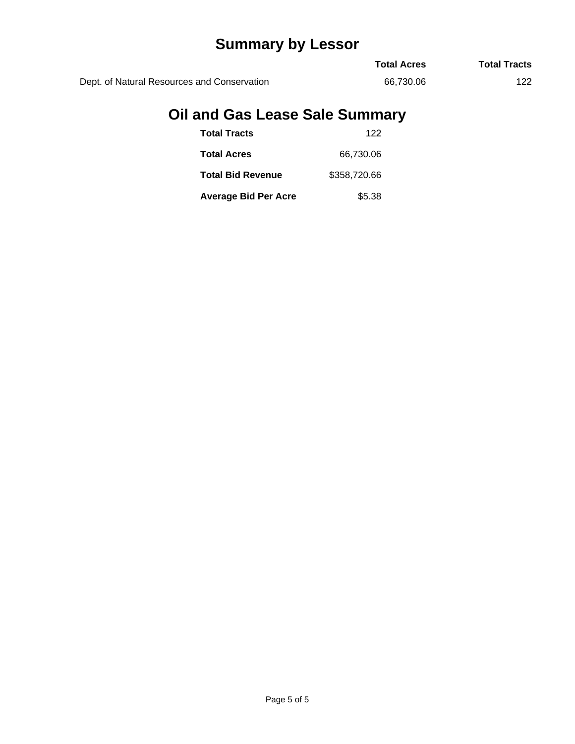## **Summary by Lessor**

|                                             | <b>Total Acres</b> | <b>Total Tracts</b> |
|---------------------------------------------|--------------------|---------------------|
| Dept. of Natural Resources and Conservation | 66.730.06          | 122                 |

### **Oil and Gas Lease Sale Summary**

| <b>Total Tracts</b>         | 122          |
|-----------------------------|--------------|
| <b>Total Acres</b>          | 66,730.06    |
| <b>Total Bid Revenue</b>    | \$358,720.66 |
| <b>Average Bid Per Acre</b> | \$5.38       |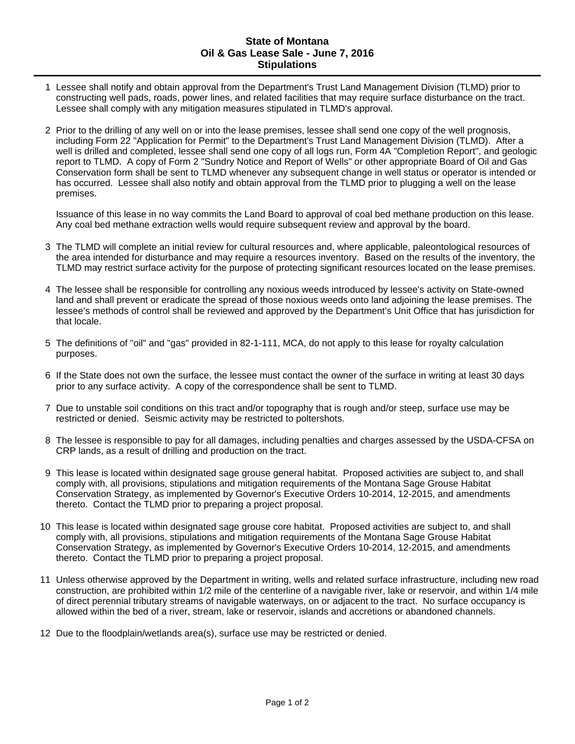#### **State of Montana Oil & Gas Lease Sale - June 7, 2016 Stipulations**

- 1 Lessee shall notify and obtain approval from the Department's Trust Land Management Division (TLMD) prior to constructing well pads, roads, power lines, and related facilities that may require surface disturbance on the tract. Lessee shall comply with any mitigation measures stipulated in TLMD's approval.
- 2 Prior to the drilling of any well on or into the lease premises, lessee shall send one copy of the well prognosis, including Form 22 "Application for Permit" to the Department's Trust Land Management Division (TLMD). After a well is drilled and completed, lessee shall send one copy of all logs run, Form 4A "Completion Report", and geologic report to TLMD. A copy of Form 2 "Sundry Notice and Report of Wells" or other appropriate Board of Oil and Gas Conservation form shall be sent to TLMD whenever any subsequent change in well status or operator is intended or has occurred. Lessee shall also notify and obtain approval from the TLMD prior to plugging a well on the lease premises.

Issuance of this lease in no way commits the Land Board to approval of coal bed methane production on this lease. Any coal bed methane extraction wells would require subsequent review and approval by the board.

- 3 The TLMD will complete an initial review for cultural resources and, where applicable, paleontological resources of the area intended for disturbance and may require a resources inventory. Based on the results of the inventory, the TLMD may restrict surface activity for the purpose of protecting significant resources located on the lease premises.
- 4 The lessee shall be responsible for controlling any noxious weeds introduced by lessee's activity on State-owned land and shall prevent or eradicate the spread of those noxious weeds onto land adjoining the lease premises. The lessee's methods of control shall be reviewed and approved by the Department's Unit Office that has jurisdiction for that locale.
- 5 The definitions of "oil" and "gas" provided in 82-1-111, MCA, do not apply to this lease for royalty calculation purposes.
- 6 If the State does not own the surface, the lessee must contact the owner of the surface in writing at least 30 days prior to any surface activity. A copy of the correspondence shall be sent to TLMD.
- 7 Due to unstable soil conditions on this tract and/or topography that is rough and/or steep, surface use may be restricted or denied. Seismic activity may be restricted to poltershots.
- 8 The lessee is responsible to pay for all damages, including penalties and charges assessed by the USDA-CFSA on CRP lands, as a result of drilling and production on the tract.
- 9 This lease is located within designated sage grouse general habitat. Proposed activities are subject to, and shall comply with, all provisions, stipulations and mitigation requirements of the Montana Sage Grouse Habitat Conservation Strategy, as implemented by Governor's Executive Orders 10-2014, 12-2015, and amendments thereto. Contact the TLMD prior to preparing a project proposal.
- 10 This lease is located within designated sage grouse core habitat. Proposed activities are subject to, and shall comply with, all provisions, stipulations and mitigation requirements of the Montana Sage Grouse Habitat Conservation Strategy, as implemented by Governor's Executive Orders 10-2014, 12-2015, and amendments thereto. Contact the TLMD prior to preparing a project proposal.
- 11 Unless otherwise approved by the Department in writing, wells and related surface infrastructure, including new road construction, are prohibited within 1/2 mile of the centerline of a navigable river, lake or reservoir, and within 1/4 mile of direct perennial tributary streams of navigable waterways, on or adjacent to the tract. No surface occupancy is allowed within the bed of a river, stream, lake or reservoir, islands and accretions or abandoned channels.
- 12 Due to the floodplain/wetlands area(s), surface use may be restricted or denied.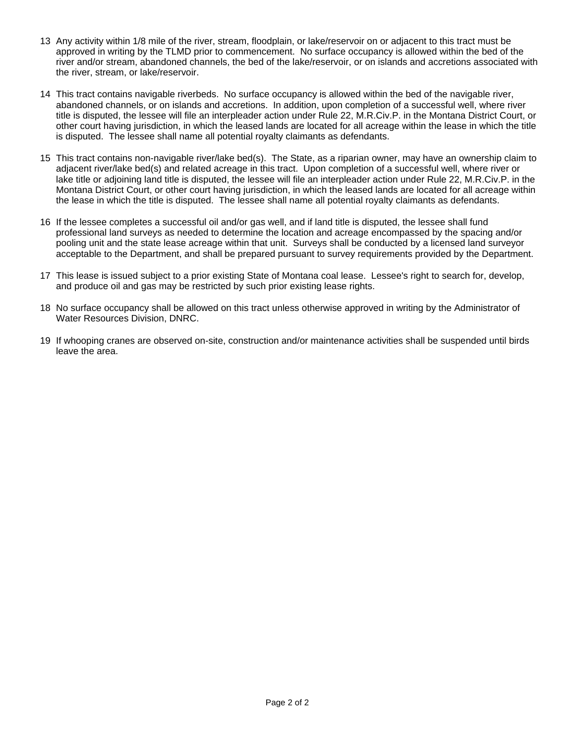- 13 Any activity within 1/8 mile of the river, stream, floodplain, or lake/reservoir on or adjacent to this tract must be approved in writing by the TLMD prior to commencement. No surface occupancy is allowed within the bed of the river and/or stream, abandoned channels, the bed of the lake/reservoir, or on islands and accretions associated with the river, stream, or lake/reservoir.
- 14 This tract contains navigable riverbeds. No surface occupancy is allowed within the bed of the navigable river, abandoned channels, or on islands and accretions. In addition, upon completion of a successful well, where river title is disputed, the lessee will file an interpleader action under Rule 22, M.R.Civ.P. in the Montana District Court, or other court having jurisdiction, in which the leased lands are located for all acreage within the lease in which the title is disputed. The lessee shall name all potential royalty claimants as defendants.
- 15 This tract contains non-navigable river/lake bed(s). The State, as a riparian owner, may have an ownership claim to adjacent river/lake bed(s) and related acreage in this tract. Upon completion of a successful well, where river or lake title or adjoining land title is disputed, the lessee will file an interpleader action under Rule 22, M.R.Civ.P. in the Montana District Court, or other court having jurisdiction, in which the leased lands are located for all acreage within the lease in which the title is disputed. The lessee shall name all potential royalty claimants as defendants.
- 16 If the lessee completes a successful oil and/or gas well, and if land title is disputed, the lessee shall fund professional land surveys as needed to determine the location and acreage encompassed by the spacing and/or pooling unit and the state lease acreage within that unit. Surveys shall be conducted by a licensed land surveyor acceptable to the Department, and shall be prepared pursuant to survey requirements provided by the Department.
- 17 This lease is issued subject to a prior existing State of Montana coal lease. Lessee's right to search for, develop, and produce oil and gas may be restricted by such prior existing lease rights.
- 18 No surface occupancy shall be allowed on this tract unless otherwise approved in writing by the Administrator of Water Resources Division, DNRC.
- 19 If whooping cranes are observed on-site, construction and/or maintenance activities shall be suspended until birds leave the area.